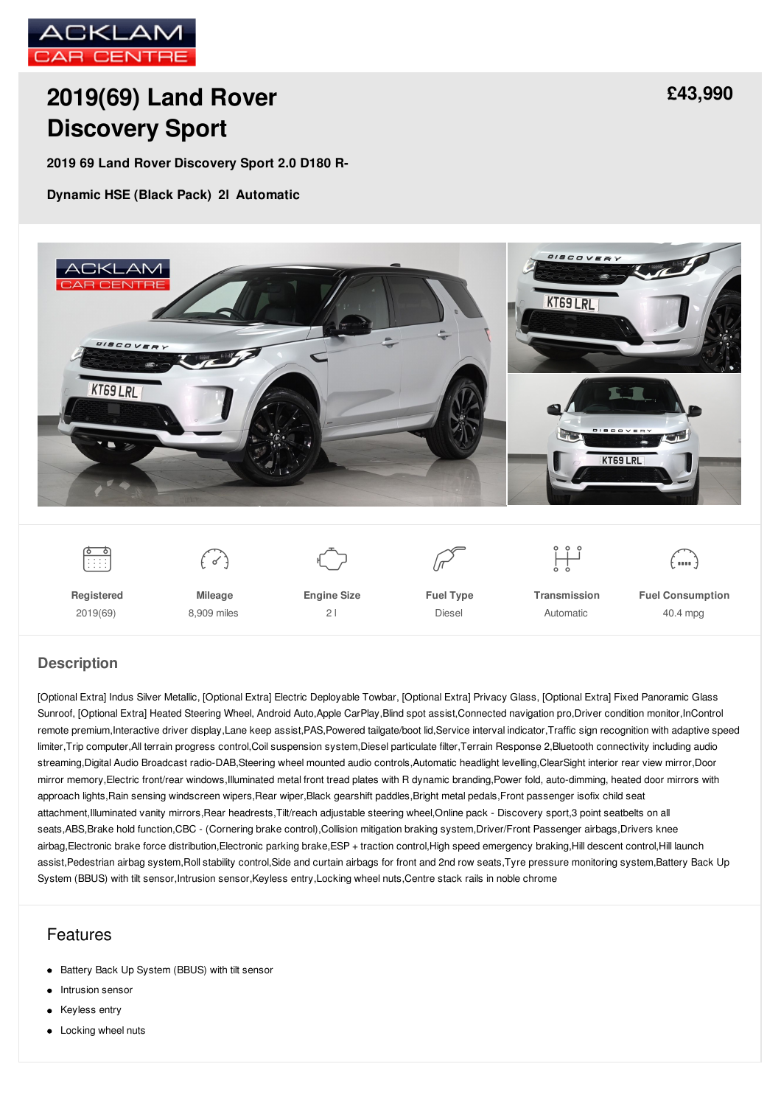

# **2019(69) Land Rover [Discovery](/used-cars/pdf/) Sport**

**2019 69 Land Rover Discovery Sport 2.0 D180 R-**

**Dynamic HSE (Black Pack) 2l Automatic**



**Registered** 2019(69)

**Mileage** 8,909 miles **Engine Size**  $21$ 



**Transmission** Automatic

**Fuel Consumption** 40.4 mpg

#### **Description**

[Optional Extra] Indus Silver Metallic, [Optional Extra] Electric Deployable Towbar, [Optional Extra] Privacy Glass, [Optional Extra] Fixed Panoramic Glass Sunroof, [Optional Extra] Heated Steering Wheel, Android Auto,Apple CarPlay,Blind spot assist,Connected navigation pro,Driver condition monitor,InControl remote premium,Interactive driver display,Lane keep assist,PAS,Powered tailgate/boot lid,Service interval indicator,Traffic sign recognition with adaptive speed limiter,Trip computer,All terrain progress control,Coil suspension system,Diesel particulate filter,Terrain Response 2,Bluetooth connectivity including audio streaming,Digital Audio Broadcast radio-DAB,Steering wheel mounted audio controls,Automatic headlight levelling,ClearSight interior rear view mirror,Door mirror memory,Electric front/rear windows,Illuminated metal front tread plates with R dynamic branding,Power fold, auto-dimming, heated door mirrors with approach lights,Rain sensing windscreen wipers,Rear wiper,Black gearshift paddles,Bright metal pedals,Front passenger isofix child seat attachment,Illuminated vanity mirrors,Rear headrests,Tilt/reach adjustable steering wheel,Online pack - Discovery sport,3 point seatbelts on all seats,ABS,Brake hold function,CBC - (Cornering brake control),Collision mitigation braking system,Driver/Front Passenger airbags,Drivers knee airbag,Electronic brake force distribution,Electronic parking brake,ESP + traction control,High speed emergency braking,Hill descent control,Hill launch assist,Pedestrian airbag system,Roll stability control,Side and curtain airbags for front and 2nd row seats,Tyre pressure monitoring system,Battery Back Up System (BBUS) with tilt sensor,Intrusion sensor,Keyless entry,Locking wheel nuts,Centre stack rails in noble chrome

### Features

- Battery Back Up System (BBUS) with tilt sensor
- Intrusion sensor  $\bullet$
- Keyless entry  $\bullet$
- Locking wheel nuts

# **[£43,990](/used-cars/pdf/)**